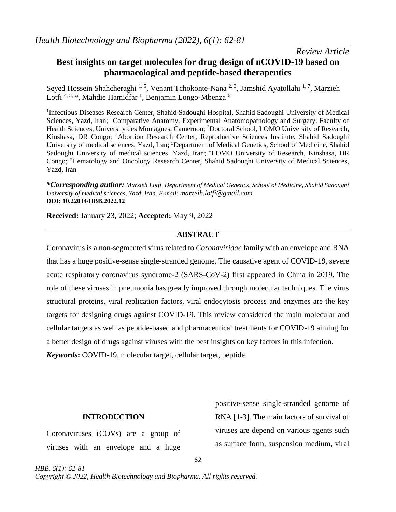*Review Article*

# **Best insights on target molecules for drug design of nCOVID-19 based on pharmacological and peptide-based therapeutics**

Seyed Hossein Shahcheraghi<sup>1, 5</sup>, Venant Tchokonte-Nana<sup>2, 3</sup>, Jamshid Ayatollahi<sup>1, 7</sup>, Marzieh Lotfi<sup>4, 5,</sup> \*, Mahdie Hamidfar <sup>1</sup>, Benjamin Longo-Mbenza <sup>6</sup>

<sup>1</sup>Infectious Diseases Research Center, Shahid Sadoughi Hospital, Shahid Sadoughi University of Medical Sciences, Yazd, Iran; <sup>2</sup>Comparative Anatomy, Experimental Anatomopathology and Surgery, Faculty of Health Sciences, University des Montagnes, Cameroon; <sup>3</sup>Doctoral School, LOMO University of Research, Kinshasa, DR Congo; <sup>4</sup>Abortion Research Center, Reproductive Sciences Institute, Shahid Sadoughi University of medical sciences, Yazd, Iran; <sup>5</sup>Department of Medical Genetics, School of Medicine, Shahid Sadoughi University of medical sciences, Yazd, Iran; <sup>6</sup>LOMO University of Research, Kinshasa, DR Congo; <sup>7</sup>Hematology and Oncology Research Center, Shahid Sadoughi University of Medical Sciences, Yazd, Iran

*\*Corresponding author: Marzieh Lotfi, Department of Medical Genetics, School of Medicine, Shahid Sadoughi University of medical sciences, Yazd, Iran. E-mail: [marzeih.lotfi@gmail.com](mailto:marzeih.lotfi@gmail.com)* **DOI: 10.22034/HBB.2022.12**

**Received:** January 23, 2022; **Accepted:** May 9, 2022

# **ABSTRACT**

Coronavirus is a non-segmented virus related to *Coronaviridae* family with an envelope and RNA that has a huge positive-sense single-stranded genome. The causative agent of COVID-19, severe acute respiratory coronavirus syndrome-2 (SARS-CoV-2) first appeared in China in 2019. The role of these viruses in pneumonia has greatly improved through molecular techniques. The virus structural proteins, viral replication factors, viral endocytosis process and enzymes are the key targets for designing drugs against COVID-19. This review considered the main molecular and cellular targets as well as peptide-based and pharmaceutical treatments for COVID-19 aiming for a better design of drugs against viruses with the best insights on key factors in this infection. *Keywords***:** COVID-19, molecular target, cellular target, peptide

### **INTRODUCTION**

Coronaviruses (COVs) are a group of viruses with an envelope and a huge

positive-sense single-stranded genome of RNA [\[1-3\]](#page-12-0). The main factors of survival of viruses are depend on various agents such as surface form, suspension medium, viral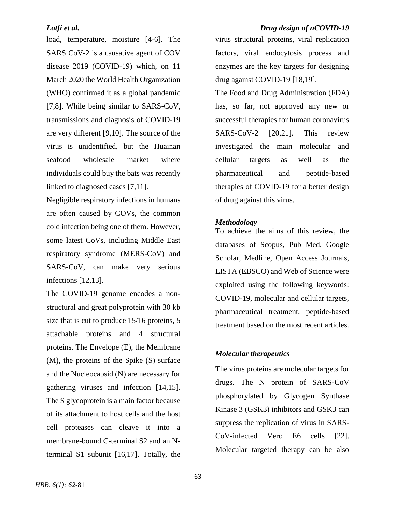load, temperature, moisture [\[4-6\]](#page-12-1). The SARS CoV-2 is a causative agent of COV disease 2019 (COVID-19) which, on 11 March 2020 the World Health Organization (WHO) confirmed it as a global pandemic [\[7](#page-12-2)[,8\]](#page-12-3). While being similar to SARS-CoV, transmissions and diagnosis of COVID-19 are very different [\[9](#page-12-4)[,10\]](#page-13-0). The source of the virus is unidentified, but the Huainan seafood wholesale market where individuals could buy the bats was recently linked to diagnosed cases [\[7,](#page-12-2)[11\]](#page-13-1).

Negligible respiratory infections in humans are often caused by COVs, the common cold infection being one of them. However, some latest CoVs, including Middle East respiratory syndrome (MERS-CoV) and SARS-CoV, can make very serious infections [\[12,](#page-13-2)[13\]](#page-13-3).

The COVID-19 genome encodes a nonstructural and great polyprotein with 30 kb size that is cut to produce 15/16 proteins, 5 attachable proteins and 4 structural proteins. The Envelope (E), the Membrane (M), the proteins of the Spike (S) surface and the Nucleocapsid (N) are necessary for gathering viruses and infection [\[14](#page-13-4)[,15\]](#page-13-5). The S glycoprotein is a main factor because of its attachment to host cells and the host cell proteases can cleave it into a membrane-bound C-terminal S2 and an Nterminal S1 subunit [\[16](#page-13-6)[,17\]](#page-13-7). Totally, the

### *Lotfi et al. Drug design of nCOVID-19*

virus structural proteins, viral replication factors, viral endocytosis process and enzymes are the key targets for designing drug against COVID-19 [\[18](#page-13-8)[,19\]](#page-13-9).

The Food and Drug Administration (FDA) has, so far, not approved any new or successful therapies for human coronavirus SARS-CoV-2 [\[20,](#page-13-10)[21\]](#page-13-11). This review investigated the main molecular and cellular targets as well as the pharmaceutical and peptide-based therapies of COVID-19 for a better design of drug against this virus.

### *Methodology*

To achieve the aims of this review, the databases of Scopus, Pub Med, Google Scholar, Medline, Open Access Journals, LISTA (EBSCO) and Web of Science were exploited using the following keywords: COVID-19, molecular and cellular targets, pharmaceutical treatment, peptide-based treatment based on the most recent articles.

### *Molecular therapeutics*

The virus proteins are molecular targets for drugs. The N protein of SARS-CoV phosphorylated by Glycogen Synthase Kinase 3 (GSK3) inhibitors and GSK3 can suppress the replication of virus in SARS-CoV-infected Vero E6 cells [\[22\]](#page-14-0). Molecular targeted therapy can be also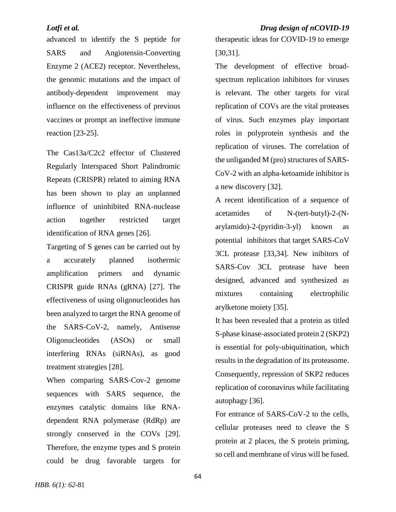advanced to identify the S peptide for SARS and Angiotensin-Converting Enzyme 2 (ACE2) receptor. Nevertheless, the genomic mutations and the impact of antibody-dependent improvement may influence on the effectiveness of previous vaccines or prompt an ineffective immune reaction [\[23-25\]](#page-14-1).

The Cas13a/C2c2 effector of Clustered Regularly Interspaced Short Palindromic Repeats (CRISPR) related to aiming RNA has been shown to play an unplanned influence of uninhibited RNA-nuclease action together restricted target identification of RNA genes [\[26\]](#page-14-2).

Targeting of S genes can be carried out by a accurately planned isothermic amplification primers and dynamic CRISPR guide RNAs (gRNA) [\[27\]](#page-14-3). The effectiveness of using oligonucleotides has been analyzed to target the RNA genome of the SARS-CoV-2, namely, Antisense Oligonucleotides (ASOs) or small interfering RNAs (siRNAs), as good treatment strategies [\[28\]](#page-14-4).

When comparing SARS-Cov-2 genome sequences with SARS sequence, the enzymes catalytic domains like RNAdependent RNA polymerase (RdRp) are strongly conserved in the COVs [\[29\]](#page-14-5). Therefore, the enzyme types and S protein could be drug favorable targets for therapeutic ideas for COVID-19 to emerge [\[30](#page-14-6)[,31\]](#page-14-7).

The development of effective broadspectrum replication inhibitors for viruses is relevant. The other targets for viral replication of COVs are the vital proteases of virus. Such enzymes play important roles in polyprotein synthesis and the replication of viruses. The correlation of the unliganded M (pro) structures of SARS-CoV-2 with an alpha-ketoamide inhibitor is a new discovery [\[32\]](#page-14-8).

A recent identification of a sequence of acetamides of N-(tert-butyl)-2-(Narylamido)-2-(pyridin-3-yl) known as potential inhibitors that target SARS-CoV 3CL protease [\[33,](#page-14-9)[34\]](#page-15-0). New inibitors of SARS-Cov 3CL protease have been designed, advanced and synthesized as mixtures containing electrophilic arylketone moiety [\[35\]](#page-15-1).

It has been revealed that a protein as titled S-phase kinase-associated protein 2 (SKP2) is essential for poly-ubiquitination, which results in the degradation of its proteasome. Consequently, repression of SKP2 reduces replication of coronavirus while facilitating autophagy [\[36\]](#page-15-2).

For entrance of SARS-CoV-2 to the cells, cellular proteases need to cleave the S protein at 2 places, the S protein priming, so cell and membrane of virus will be fused.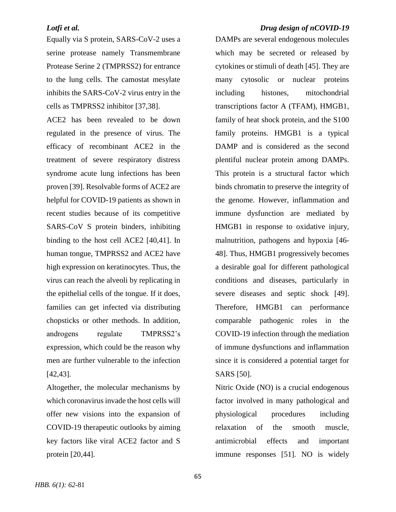Equally via S protein, SARS-CoV-2 uses a serine protease namely Transmembrane Protease Serine 2 (TMPRSS2) for entrance to the lung cells. The camostat mesylate inhibits the SARS-CoV-2 virus entry in the cells as TMPRSS2 inhibitor [\[37](#page-15-3)[,38\]](#page-15-4).

ACE2 has been revealed to be down regulated in the presence of virus. The efficacy of recombinant ACE2 in the treatment of severe respiratory distress syndrome acute lung infections has been proven [\[39\]](#page-15-5). Resolvable forms of ACE2 are helpful for COVID-19 patients as shown in recent studies because of its competitive SARS-CoV S protein binders, inhibiting binding to the host cell ACE2 [\[40](#page-15-6)[,41\]](#page-15-7). In human tongue, TMPRSS2 and ACE2 have high expression on keratinocytes. Thus, the virus can reach the alveoli by replicating in the epithelial cells of the tongue. If it does, families can get infected via distributing chopsticks or other methods. In addition, androgens regulate TMPRSS2's expression, which could be the reason why men are further vulnerable to the infection [\[42](#page-15-8)[,43\]](#page-15-9).

Altogether, the molecular mechanisms by which coronavirus invade the host cells will offer new visions into the expansion of COVID-19 therapeutic outlooks by aiming key factors like viral ACE2 factor and S protein [\[20](#page-13-10)[,44\]](#page-15-10).

# *Lotfi et al. Drug design of nCOVID-19*

DAMPs are several endogenous molecules which may be secreted or released by cytokines or stimuli of death [\[45\]](#page-15-11). They are many cytosolic or nuclear proteins including histones, mitochondrial transcriptions factor A (TFAM), HMGB1, family of heat shock protein, and the S100 family proteins. HMGB1 is a typical DAMP and is considered as the second plentiful nuclear protein among DAMPs. This protein is a structural factor which binds chromatin to preserve the integrity of the genome. However, inflammation and immune dysfunction are mediated by HMGB1 in response to oxidative injury, malnutrition, pathogens and hypoxia [\[46-](#page-16-0) [48\]](#page-16-0). Thus, HMGB1 progressively becomes a desirable goal for different pathological conditions and diseases, particularly in severe diseases and septic shock [\[49\]](#page-16-1). Therefore, HMGB1 can performance comparable pathogenic roles in the COVID-19 infection through the mediation of immune dysfunctions and inflammation since it is considered a potential target for SARS [\[50\]](#page-16-2).

Nitric Oxide (NO) is a crucial endogenous factor involved in many pathological and physiological procedures including relaxation of the smooth muscle, antimicrobial effects and important immune responses [\[51\]](#page-16-3). NO is widely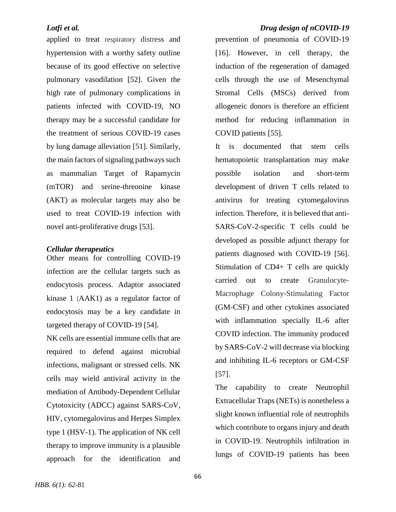applied to treat respiratory distress and hypertension with a worthy safety outline because of its good effective on selective pulmonary vasodilation [\[52\]](#page-16-4). Given the high rate of pulmonary complications in patients infected with COVID-19, NO therapy may be a successful candidate for the treatment of serious COVID-19 cases by lung damage alleviation [\[51\]](#page-16-3). Similarly, the main factors of signaling pathways such as mammalian Target of Rapamycin (mTOR) and serine-threonine kinase (AKT) as molecular targets may also be used to treat COVID-19 infection with novel anti-proliferative drugs [\[53\]](#page-16-5).

### *Cellular therapeutics*

Other means for controlling COVID-19 infection are the cellular targets such as endocytosis process. Adaptor associated kinase 1 (AAK1) as a regulator factor of endocytosis may be a key candidate in targeted therapy of COVID-19 [\[54\]](#page-16-6).

NK cells are essential immune cells that are required to defend against microbial infections, malignant or stressed cells. NK cells may wield antiviral activity in the mediation of Antibody-Dependent Cellular Cytotoxicity (ADCC) against SARS-CoV, HIV, cytomegalovirus and Herpes Simplex type 1 (HSV-1). The application of NK cell therapy to improve immunity is a plausible approach for the identification and

# *Lotfi et al. Drug design of nCOVID-19*

prevention of pneumonia of COVID-19 [\[16\]](#page-13-6). However, in cell therapy, the induction of the regeneration of damaged cells through the use of Mesenchymal Stromal Cells (MSCs) derived from allogeneic donors is therefore an efficient method for reducing inflammation in COVID patients [\[55\]](#page-16-7).

It is documented that stem cells hematopoietic transplantation may make possible isolation and short-term development of driven T cells related to antivirus for treating cytomegalovirus infection. Therefore, it is believed that anti-SARS-CoV-2-specific T cells could be developed as possible adjunct therapy for patients diagnosed with COVID-19 [\[56\]](#page-16-8). Stimulation of CD4+ T cells are quickly carried out to create Granulocyte-Macrophage Colony-Stimulating Factor (GM-CSF) and other cytokines associated with inflammation specially IL-6 after COVID infection. The immunity produced by SARS-CoV-2 will decrease via blocking and inhibiting IL-6 receptors or GM-CSF [\[57\]](#page-16-9).

The capability to create Neutrophil Extracellular Traps (NETs) is nonetheless a slight known influential role of neutrophils which contribute to organs injury and death in COVID-19. Neutrophils infiltration in lungs of COVID-19 patients has been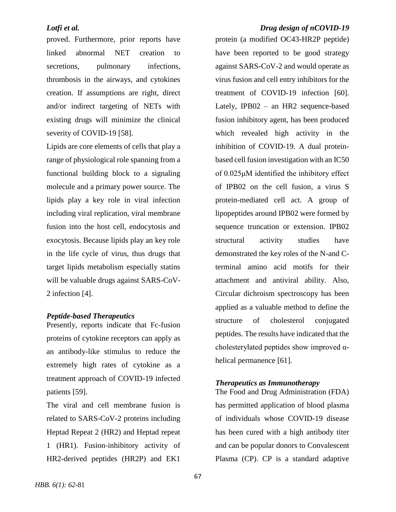proved. Furthermore, prior reports have linked abnormal NET creation to secretions, pulmonary infections, thrombosis in the airways, and cytokines creation. If assumptions are right, direct and/or indirect targeting of NETs with existing drugs will minimize the clinical severity of COVID-19 [\[58\]](#page-16-10).

Lipids are core elements of cells that play a range of physiological role spanning from a functional building block to a signaling molecule and a primary power source. The lipids play a key role in viral infection including viral replication, viral membrane fusion into the host cell, endocytosis and exocytosis. Because lipids play an key role in the life cycle of virus, thus drugs that target lipids metabolism especially statins will be valuable drugs against SARS-CoV-2 infection [\[4\]](#page-12-1).

### *Peptide-based Therapeutics*

Presently, reports indicate that Fc-fusion proteins of cytokine receptors can apply as an antibody-like stimulus to reduce the extremely high rates of cytokine as a treatment approach of COVID-19 infected patients [\[59\]](#page-17-0).

The viral and cell membrane fusion is related to SARS-CoV-2 proteins including Heptad Repeat 2 (HR2) and Heptad repeat 1 (HR1). Fusion-inhibitory activity of HR2-derived peptides (HR2P) and EK1

### *Lotfi et al. Drug design of nCOVID-19*

protein (a modified OC43-HR2P peptide) have been reported to be good strategy against SARS-CoV-2 and would operate as virus fusion and cell entry inhibitors for the treatment of COVID-19 infection [\[60\]](#page-17-1). Lately, IPB02 – an HR2 sequence-based fusion inhibitory agent, has been produced which revealed high activity in the inhibition of COVID-19. A dual proteinbased cell fusion investigation with an IC50 of 0.025μM identified the inhibitory effect of IPB02 on the cell fusion, a virus S protein-mediated cell act. A group of lipopeptides around IPB02 were formed by sequence truncation or extension. IPB02 structural activity studies have demonstrated the key roles of the N-and Cterminal amino acid motifs for their attachment and antiviral ability. Also, Circular dichroism spectroscopy has been applied as a valuable method to define the structure of cholesterol conjugated peptides. The results have indicated that the cholesterylated peptides show improved α-helical permanence [\[61\]](#page-17-2).

### *Therapeutics as Immunotherapy*

The Food and Drug Administration (FDA) has permitted application of blood plasma of individuals whose COVID-19 disease has been cured with a high antibody titer and can be popular donors to Convalescent Plasma (CP). CP is a standard adaptive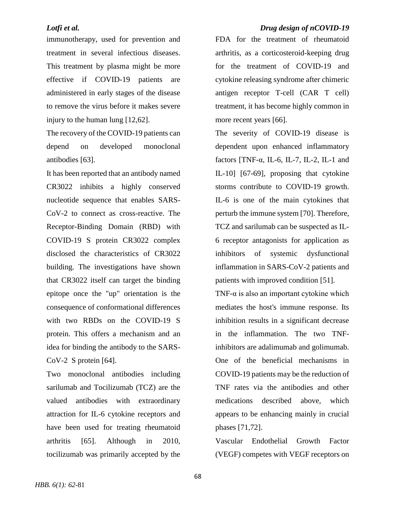immunotherapy, used for prevention and treatment in several infectious diseases. This treatment by plasma might be more effective if COVID-19 patients are administered in early stages of the disease to remove the virus before it makes severe injury to the human lung [\[12](#page-13-2)[,62\]](#page-17-3).

The recovery of the COVID-19 patients can depend on developed monoclonal antibodies [\[63\]](#page-17-4).

It has been reported that an antibody named CR3022 inhibits a highly conserved nucleotide sequence that enables SARS-CoV-2 to connect as cross-reactive. The Receptor-Binding Domain (RBD) with COVID-19 S protein CR3022 complex disclosed the characteristics of CR3022 building. The investigations have shown that CR3022 itself can target the binding epitope once the "up" orientation is the consequence of conformational differences with two RBDs on the COVID-19 S protein. This offers a mechanism and an idea for binding the antibody to the SARS-CoV-2 S protein [\[64\]](#page-17-5).

Two monoclonal antibodies including sarilumab and Tocilizumab (TCZ) are the valued antibodies with extraordinary attraction for IL-6 cytokine receptors and have been used for treating rheumatoid arthritis [\[65\]](#page-17-6). Although in 2010, tocilizumab was primarily accepted by the

# *Lotfi et al. Drug design of nCOVID-19*

FDA for the treatment of rheumatoid arthritis, as a corticosteroid-keeping drug for the treatment of COVID-19 and cytokine releasing syndrome after chimeric antigen receptor T-cell (CAR T cell) treatment, it has become highly common in more recent years [\[66\]](#page-17-7).

The severity of COVID-19 disease is dependent upon enhanced inflammatory factors  $[TNF-\alpha, IL-6, IL-7, IL-2, IL-1$  and IL-10] [\[67-69\]](#page-17-8), proposing that cytokine storms contribute to COVID-19 growth. IL-6 is one of the main cytokines that perturb the immune system [\[70\]](#page-17-9). Therefore, TCZ and sarilumab can be suspected as IL-6 receptor antagonists for application as inhibitors of systemic dysfunctional inflammation in SARS-CoV-2 patients and patients with improved condition [\[51\]](#page-16-3).

TNF- $\alpha$  is also an important cytokine which mediates the host's immune response. Its inhibition results in a significant decrease in the inflammation. The two TNFinhibitors are adalimumab and golimumab. One of the beneficial mechanisms in COVID-19 patients may be the reduction of TNF rates via the antibodies and other medications described above, which appears to be enhancing mainly in crucial phases [\[71](#page-18-0)[,72\]](#page-18-1).

Vascular Endothelial Growth Factor (VEGF) competes with VEGF receptors on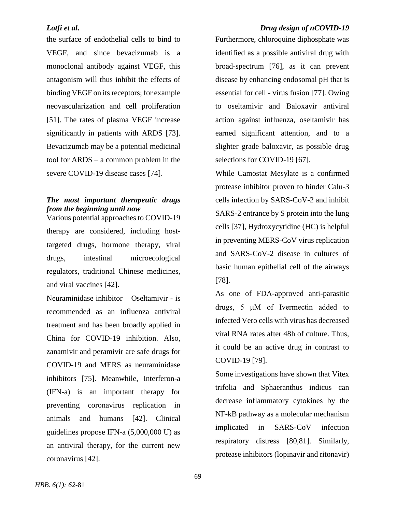the surface of endothelial cells to bind to VEGF, and since bevacizumab is a monoclonal antibody against VEGF, this antagonism will thus inhibit the effects of binding VEGF on its receptors; for example neovascularization and cell proliferation [\[51\]](#page-16-3). The rates of plasma VEGF increase significantly in patients with ARDS [\[73\]](#page-18-2). Bevacizumab may be a potential medicinal tool for ARDS – a common problem in the severe COVID-19 disease cases [\[74\]](#page-18-3).

# *The most important therapeutic drugs from the beginning until now*

Various potential approaches to COVID-19 therapy are considered, including hosttargeted drugs, hormone therapy, viral drugs, intestinal microecological regulators, traditional Chinese medicines, and viral vaccines [\[42\]](#page-15-8).

Neuraminidase inhibitor – Oseltamivir - is recommended as an influenza antiviral treatment and has been broadly applied in China for COVID-19 inhibition. Also, zanamivir and peramivir are safe drugs for COVID-19 and MERS as neuraminidase inhibitors [\[75\]](#page-18-4). Meanwhile, Interferon-a (IFN-a) is an important therapy for preventing coronavirus replication in animals and humans [\[42\]](#page-15-8). Clinical guidelines propose IFN-a (5,000,000 U) as an antiviral therapy, for the current new coronavirus [\[42\]](#page-15-8).

### *Lotfi et al. Drug design of nCOVID-19*

Furthermore, chloroquine diphosphate was identified as a possible antiviral drug with broad-spectrum [\[76\]](#page-18-5), as it can prevent disease by enhancing endosomal pH that is essential for cell - virus fusion [\[77\]](#page-18-6). Owing to oseltamivir and Baloxavir antiviral action against influenza, oseltamivir has earned significant attention, and to a slighter grade baloxavir, as possible drug selections for COVID-19 [\[67\]](#page-17-8).

While Camostat Mesylate is a confirmed protease inhibitor proven to hinder Calu-3 cells infection by SARS-CoV-2 and inhibit SARS-2 entrance by S protein into the lung cells [\[37\]](#page-15-3), Hydroxycytidine (HC) is helpful in preventing MERS-CoV virus replication and SARS-CoV-2 disease in cultures of basic human epithelial cell of the airways [\[78\]](#page-18-7).

As one of FDA-approved anti-parasitic drugs, 5 μM of Ivermectin added to infected Vero cells with virus has decreased viral RNA rates after 48h of culture. Thus, it could be an active drug in contrast to COVID-19 [\[79\]](#page-18-8).

Some investigations have shown that Vitex trifolia and Sphaeranthus indicus can decrease inflammatory cytokines by the NF-kB pathway as a molecular mechanism implicated in SARS-CoV infection respiratory distress [\[80](#page-18-9)[,81\]](#page-18-10). Similarly, protease inhibitors (lopinavir and ritonavir)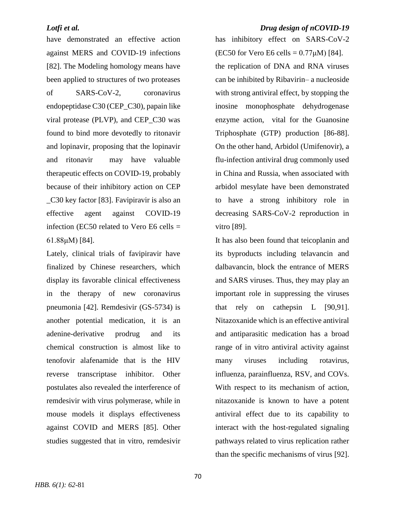have demonstrated an effective action against MERS and COVID-19 infections [\[82\]](#page-18-11). The Modeling homology means have been applied to structures of two proteases

of SARS-CoV-2, coronavirus endopeptidase C30 (CEP\_C30), papain like viral protease (PLVP), and CEP\_C30 was found to bind more devotedly to ritonavir and lopinavir, proposing that the lopinavir and ritonavir may have valuable therapeutic effects on COVID-19, probably because of their inhibitory action on CEP \_C30 key factor [\[83\]](#page-18-12). Favipiravir is also an effective agent against COVID-19 infection (EC50 related to Vero E6 cells  $=$ 61.88μM) [\[84\]](#page-19-0).

Lately, clinical trials of favipiravir have finalized by Chinese researchers, which display its favorable clinical effectiveness in the therapy of new coronavirus pneumonia [\[42\]](#page-15-8). Remdesivir (GS-5734) is another potential medication, it is an adenine-derivative prodrug and its chemical construction is almost like to tenofovir alafenamide that is the HIV reverse transcriptase inhibitor. Other postulates also revealed the interference of remdesivir with virus polymerase, while in mouse models it displays effectiveness against COVID and MERS [\[85\]](#page-19-1). Other studies suggested that in vitro, remdesivir

### *Lotfi et al. Drug design of nCOVID-19*

has inhibitory effect on SARS-CoV-2 (EC50 for Vero E6 cells =  $0.77 \mu$ M) [\[84\]](#page-19-0). the replication of DNA and RNA viruses can be inhibited by Ribavirin– a nucleoside with strong antiviral effect, by stopping the inosine monophosphate dehydrogenase enzyme action, vital for the Guanosine Triphosphate (GTP) production [\[86-88\]](#page-19-2). On the other hand, Arbidol (Umifenovir), a flu-infection antiviral drug commonly used in China and Russia, when associated with arbidol mesylate have been demonstrated to have a strong inhibitory role in decreasing SARS-CoV-2 reproduction in vitro [\[89\]](#page-19-3).

It has also been found that teicoplanin and its byproducts including telavancin and dalbavancin, block the entrance of MERS and SARS viruses. Thus, they may play an important role in suppressing the viruses that rely on cathepsin L [\[90](#page-19-4)[,91\]](#page-19-5). Nitazoxanide which is an effective antiviral and antiparasitic medication has a broad range of in vitro antiviral activity against many viruses including rotavirus, influenza, parainfluenza, RSV, and COVs. With respect to its mechanism of action, nitazoxanide is known to have a potent antiviral effect due to its capability to interact with the host-regulated signaling pathways related to virus replication rather than the specific mechanisms of virus [\[92\]](#page-19-6).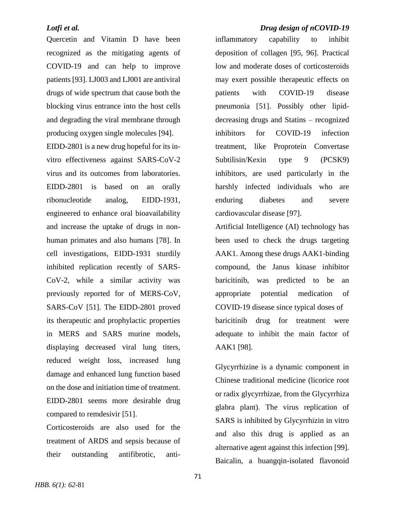Quercetin and Vitamin D have been recognized as the mitigating agents of COVID-19 and can help to improve patients [\[93\]](#page-19-7). LJ003 and LJ001 are antiviral drugs of wide spectrum that cause both the blocking virus entrance into the host cells and degrading the viral membrane through producing oxygen single molecules [\[94\]](#page-19-8). EIDD-2801 is a new drug hopeful for its invitro effectiveness against SARS-CoV-2 virus and its outcomes from laboratories. EIDD-2801 is based on an orally ribonucleotide analog, EIDD-1931, engineered to enhance oral bioavailability and increase the uptake of drugs in nonhuman primates and also humans [\[78\]](#page-18-7). In cell investigations, EIDD-1931 sturdily inhibited replication recently of SARS-CoV-2, while a similar activity was previously reported for of MERS-CoV, SARS-CoV [\[51\]](#page-16-3). The EIDD-2801 proved its therapeutic and prophylactic properties in MERS and SARS murine models, displaying decreased viral lung titers, reduced weight loss, increased lung damage and enhanced lung function based on the dose and initiation time of treatment. EIDD-2801 seems more desirable drug compared to remdesivir [\[51\]](#page-16-3).

Corticosteroids are also used for the treatment of ARDS and sepsis because of their outstanding antifibrotic, anti-

# *Lotfi et al. Drug design of nCOVID-19*

inflammatory capability to inhibit deposition of collagen [\[95,](#page-20-0) [96\]](#page-20-1). Practical low and moderate doses of corticosteroids may exert possible therapeutic effects on patients with COVID-19 disease pneumonia [\[51\]](#page-16-3). Possibly other lipiddecreasing drugs and Statins – recognized inhibitors for COVID-19 infection treatment, like Proprotein Convertase Subtilisin/Kexin type 9 (PCSK9) inhibitors, are used particularly in the harshly infected individuals who are enduring diabetes and severe cardiovascular disease [\[97\]](#page-20-2).

Artificial Intelligence (AI) technology has been used to check the drugs targeting AAK1. Among these drugs AAK1-binding compound, the Janus kinase inhibitor baricitinib, was predicted to be an appropriate potential medication of COVID-19 disease since typical doses of baricitinib drug for treatment were adequate to inhibit the main factor of AAK1 [\[98\]](#page-20-3).

Glycyrrhizine is a dynamic component in Chinese traditional medicine (licorice root or radix glycyrrhizae, from the Glycyrrhiza glabra plant). The virus replication of SARS is inhibited by Glycyrrhizin in vitro and also this drug is applied as an alternative agent against this infection [\[99\]](#page-20-4). Baicalin, a huangqin-isolated flavonoid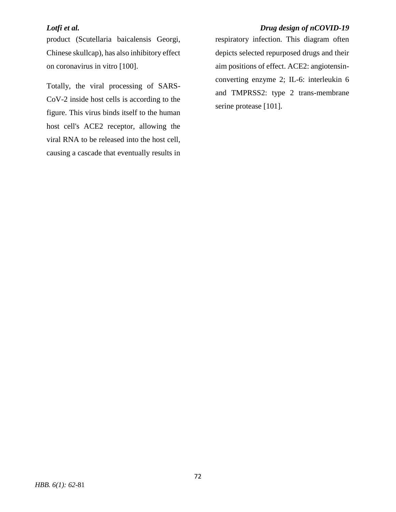product (Scutellaria baicalensis Georgi, Chinese skullcap), has also inhibitory effect on coronavirus in vitro [\[100\]](#page-20-5).

Totally, the viral processing of SARS-CoV-2 inside host cells is according to the figure. This virus binds itself to the human host cell's ACE2 receptor, allowing the viral RNA to be released into the host cell, causing a cascade that eventually results in

# *Lotfi et al. Drug design of nCOVID-19*

respiratory infection. This diagram often depicts selected repurposed drugs and their aim positions of effect. ACE2: angiotensinconverting enzyme 2; IL-6: interleukin 6 and TMPRSS2: type 2 trans-membrane serine protease [\[101\]](#page-20-6).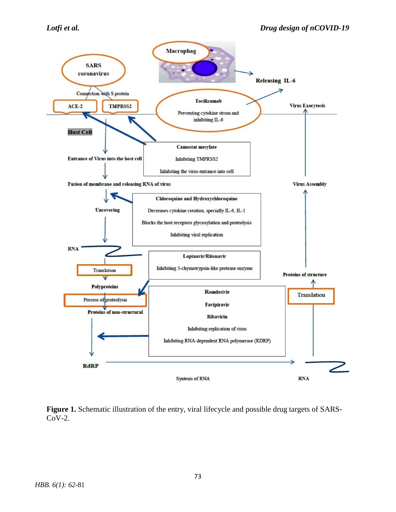

Figure 1. Schematic illustration of the entry, viral lifecycle and possible drug targets of SARS-CoV-2.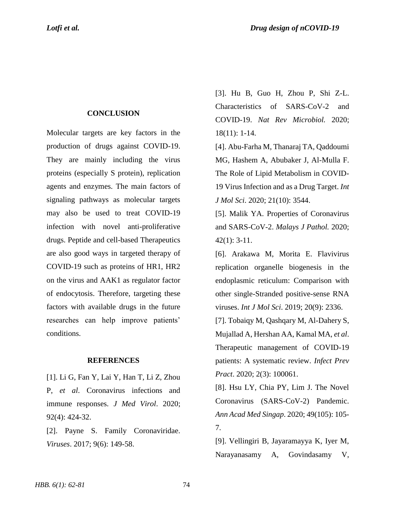# **CONCLUSION**

Molecular targets are key factors in the production of drugs against COVID-19. They are mainly including the virus proteins (especially S protein), replication agents and enzymes. The main factors of signaling pathways as molecular targets may also be used to treat COVID-19 infection with novel anti-proliferative drugs. Peptide and cell-based Therapeutics are also good ways in targeted therapy of COVID-19 such as proteins of HR1, HR2 on the virus and AAK1 as regulator factor of endocytosis. Therefore, targeting these factors with available drugs in the future researches can help improve patients' conditions.

### **REFERENCES**

<span id="page-12-0"></span>[1]. Li G, Fan Y, Lai Y, Han T, Li Z, Zhou P, *et al*. Coronavirus infections and immune responses. *J Med Virol*. 2020; 92(4): 424-32.

[2]. Payne S. Family Coronaviridae. *Viruses*. 2017; 9(6): 149-58.

[3]. Hu B, Guo H, Zhou P, Shi Z-L. Characteristics of SARS-CoV-2 and COVID-19. *Nat Rev Microbiol.* 2020; 18(11): 1-14.

<span id="page-12-1"></span>[4]. Abu-Farha M, Thanaraj TA, Qaddoumi MG, Hashem A, Abubaker J, Al-Mulla F. The Role of Lipid Metabolism in COVID-19 Virus Infection and as a Drug Target. *Int J Mol Sci*. 2020; 21(10): 3544.

[5]. Malik YA. Properties of Coronavirus and SARS-CoV-2. *Malays J Pathol.* 2020; 42(1): 3-11.

[6]. Arakawa M, Morita E. Flavivirus replication organelle biogenesis in the endoplasmic reticulum: Comparison with other single-Stranded positive-sense RNA viruses. *Int J Mol Sci*. 2019; 20(9): 2336.

<span id="page-12-2"></span>[7]. Tobaiqy M, Qashqary M, Al-Dahery S, Mujallad A, Hershan AA, Kamal MA, *et al*. Therapeutic management of COVID-19 patients: A systematic review. *Infect Prev Pract*. 2020; 2(3): 100061.

<span id="page-12-3"></span>[8]. Hsu LY, Chia PY, Lim J. The Novel Coronavirus (SARS-CoV-2) Pandemic. *Ann Acad Med Singap*. 2020; 49(105): 105- 7.

<span id="page-12-4"></span>[9]. Vellingiri B, Jayaramayya K, Iyer M, Narayanasamy A, Govindasamy V,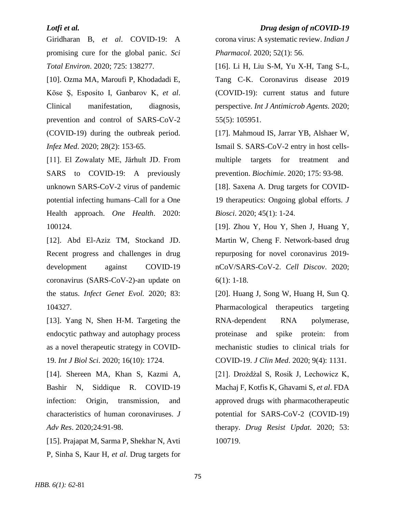# *Lotfi et al. Drug design of nCOVID-19*

Giridharan B, *et al*. COVID-19: A promising cure for the global panic. *Sci Total Environ*. 2020; 725: 138277.

<span id="page-13-0"></span>[10]. Ozma MA, Maroufi P, Khodadadi E, Köse Ş, Esposito I, Ganbarov K, *et al*. Clinical manifestation, diagnosis, prevention and control of SARS-CoV-2 (COVID-19) during the outbreak period. *Infez Med*. 2020; 28(2): 153-65.

<span id="page-13-1"></span>[11]. El Zowalaty ME, Järhult JD. From SARS to COVID-19: A previously unknown SARS-CoV-2 virus of pandemic potential infecting humans–Call for a One Health approach. *One Health*. 2020: 100124.

<span id="page-13-2"></span>[12]. Abd El-Aziz TM, Stockand JD. Recent progress and challenges in drug development against COVID-19 coronavirus (SARS-CoV-2)-an update on the status. *Infect Genet Evol.* 2020; 83: 104327.

<span id="page-13-3"></span>[13]. Yang N, Shen H-M. Targeting the endocytic pathway and autophagy process as a novel therapeutic strategy in COVID-19. *Int J Biol Sci*. 2020; 16(10): 1724.

<span id="page-13-4"></span>[14]. Shereen MA, Khan S, Kazmi A, Bashir N, Siddique R. COVID-19 infection: Origin, transmission, and characteristics of human coronaviruses. *J Adv Res*. 2020;24:91-98.

<span id="page-13-5"></span>[15]. Prajapat M, Sarma P, Shekhar N, Avti P, Sinha S, Kaur H, *et al*. Drug targets for corona virus: A systematic review. *Indian J Pharmacol*. 2020; 52(1): 56.

<span id="page-13-6"></span>[16]. Li H, Liu S-M, Yu X-H, Tang S-L, Tang C-K. Coronavirus disease 2019 (COVID-19): current status and future perspective. *Int J Antimicrob Agents.* 2020; 55(5): 105951.

<span id="page-13-7"></span>[17]. Mahmoud IS, Jarrar YB, Alshaer W, Ismail S. SARS-CoV-2 entry in host cellsmultiple targets for treatment and prevention. *Biochimie*. 2020; 175: 93-98.

<span id="page-13-8"></span>[18]. Saxena A. Drug targets for COVID-19 therapeutics: Ongoing global efforts. *J Biosci*. 2020; 45(1): 1-24.

<span id="page-13-9"></span>[19]. Zhou Y, Hou Y, Shen J, Huang Y, Martin W, Cheng F. Network-based drug repurposing for novel coronavirus 2019 nCoV/SARS-CoV-2. *Cell Discov*. 2020; 6(1): 1-18.

<span id="page-13-11"></span><span id="page-13-10"></span>[20]. Huang J, Song W, Huang H, Sun Q. Pharmacological therapeutics targeting RNA-dependent RNA polymerase, proteinase and spike protein: from mechanistic studies to clinical trials for COVID-19. *J Clin Med*. 2020; 9(4): 1131. [21]. Drożdżal S, Rosik J, Lechowicz K, Machaj F, Kotfis K, Ghavami S, *et al*. FDA approved drugs with pharmacotherapeutic potential for SARS-CoV-2 (COVID-19) therapy. *Drug Resist Updat*. 2020; 53: 100719.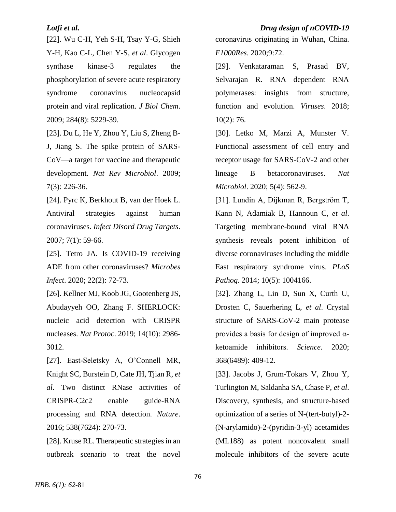<span id="page-14-0"></span>[22]. Wu C-H, Yeh S-H, Tsay Y-G, Shieh Y-H, Kao C-L, Chen Y-S, *et al*. Glycogen synthase kinase-3 regulates the phosphorylation of severe acute respiratory syndrome coronavirus nucleocapsid protein and viral replication. *J Biol Chem*. 2009; 284(8): 5229-39.

<span id="page-14-1"></span>[23]. Du L, He Y, Zhou Y, Liu S, Zheng B-J, Jiang S. The spike protein of SARS-CoV—a target for vaccine and therapeutic development. *Nat Rev Microbiol*. 2009; 7(3): 226-36.

[24]. Pyrc K, Berkhout B, van der Hoek L. Antiviral strategies against human coronaviruses. *Infect Disord Drug Targets*. 2007; 7(1): 59-66.

[25]. Tetro JA. Is COVID-19 receiving ADE from other coronaviruses? *Microbes Infect*. 2020; 22(2): 72-73.

<span id="page-14-2"></span>[26]. Kellner MJ, Koob JG, Gootenberg JS, Abudayyeh OO, Zhang F. SHERLOCK: nucleic acid detection with CRISPR nucleases. *Nat Protoc*. 2019; 14(10): 2986- 3012.

<span id="page-14-3"></span>[27]. East-Seletsky A, O'Connell MR, Knight SC, Burstein D, Cate JH, Tjian R, *et al*. Two distinct RNase activities of CRISPR-C2c2 enable guide-RNA processing and RNA detection. *Nature*. 2016; 538(7624): 270-73.

<span id="page-14-4"></span>[28]. Kruse RL. Therapeutic strategies in an outbreak scenario to treat the novel

*Lotfi et al. Drug design of nCOVID-19*

coronavirus originating in Wuhan, China. *F1000Res*. 2020;9:72.

<span id="page-14-5"></span>[29]. Venkataraman S, Prasad BV, Selvarajan R. RNA dependent RNA polymerases: insights from structure, function and evolution. *Viruses*. 2018; 10(2): 76.

<span id="page-14-6"></span>[30]. Letko M, Marzi A, Munster V. Functional assessment of cell entry and receptor usage for SARS-CoV-2 and other lineage B betacoronaviruses. *Nat Microbiol*. 2020; 5(4): 562-9.

<span id="page-14-7"></span>[31]. Lundin A, Dijkman R, Bergström T, Kann N, Adamiak B, Hannoun C, *et al*. Targeting membrane-bound viral RNA synthesis reveals potent inhibition of diverse coronaviruses including the middle East respiratory syndrome virus. *PLoS Pathog*. 2014; 10(5): 1004166.

<span id="page-14-8"></span>[32]. Zhang L, Lin D, Sun X, Curth U, Drosten C, Sauerhering L, *et al*. Crystal structure of SARS-CoV-2 main protease provides a basis for design of improved  $\alpha$ ketoamide inhibitors. *Science*. 2020; 368(6489): 409-12.

<span id="page-14-9"></span>[33]. Jacobs J, Grum-Tokars V, Zhou Y, Turlington M, Saldanha SA, Chase P, *et al*. Discovery, synthesis, and structure-based optimization of a series of N-(tert-butyl)-2- (N-arylamido)-2-(pyridin-3-yl) acetamides (ML188) as potent noncovalent small molecule inhibitors of the severe acute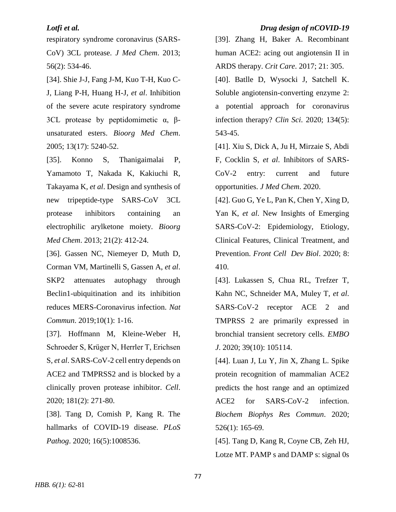respiratory syndrome coronavirus (SARS-CoV) 3CL protease. *J Med Chem*. 2013; 56(2): 534-46.

<span id="page-15-0"></span>[34]. Shie J-J, Fang J-M, Kuo T-H, Kuo C-J, Liang P-H, Huang H-J, *et al*. Inhibition of the severe acute respiratory syndrome 3CL protease by peptidomimetic  $\alpha$ , βunsaturated esters. *Bioorg Med Chem*. 2005; 13(17): 5240-52.

<span id="page-15-1"></span>[35]. Konno S, Thanigaimalai P, Yamamoto T, Nakada K, Kakiuchi R, Takayama K, *et al*. Design and synthesis of new tripeptide-type SARS-CoV 3CL protease inhibitors containing an electrophilic arylketone moiety. *Bioorg Med Chem*. 2013; 21(2): 412-24.

<span id="page-15-2"></span>[36]. Gassen NC, Niemeyer D, Muth D, Corman VM, Martinelli S, Gassen A, *et al*. SKP2 attenuates autophagy through Beclin1-ubiquitination and its inhibition reduces MERS-Coronavirus infection. *Nat Commun*. 2019;10(1): 1-16.

<span id="page-15-3"></span>[37]. Hoffmann M, Kleine-Weber H, Schroeder S, Krüger N, Herrler T, Erichsen S, *et al*. SARS-CoV-2 cell entry depends on ACE2 and TMPRSS2 and is blocked by a clinically proven protease inhibitor. *Cell*. 2020; 181(2): 271-80.

<span id="page-15-4"></span>[38]. Tang D, Comish P, Kang R. The hallmarks of COVID-19 disease. *PLoS Pathog*. 2020; 16(5):1008536.

### *Lotfi et al. Drug design of nCOVID-19*

<span id="page-15-5"></span>[39]. Zhang H, Baker A. Recombinant human ACE2: acing out angiotensin II in ARDS therapy. *Crit Care*. 2017; 21: 305.

<span id="page-15-6"></span>[40]. Batlle D, Wysocki J, Satchell K. Soluble angiotensin-converting enzyme 2: a potential approach for coronavirus infection therapy? *Clin Sci*. 2020; 134(5): 543-45.

<span id="page-15-7"></span>[41]. Xiu S, Dick A, Ju H, Mirzaie S, Abdi F, Cocklin S, *et al*. Inhibitors of SARS-CoV-2 entry: current and future opportunities. *J Med Chem*. 2020.

<span id="page-15-8"></span>[42]. Guo G, Ye L, Pan K, Chen Y, Xing D, Yan K, *et al*. New Insights of Emerging SARS-CoV-2: Epidemiology, Etiology, Clinical Features, Clinical Treatment, and Prevention. *Front Cell Dev Biol*. 2020; 8: 410.

<span id="page-15-9"></span>[43]. Lukassen S, Chua RL, Trefzer T, Kahn NC, Schneider MA, Muley T, *et al*. SARS-CoV-2 receptor ACE 2 and TMPRSS 2 are primarily expressed in bronchial transient secretory cells. *EMBO J*. 2020; 39(10): 105114.

<span id="page-15-10"></span>[44]. Luan J, Lu Y, Jin X, Zhang L. Spike protein recognition of mammalian ACE2 predicts the host range and an optimized ACE2 for SARS-CoV-2 infection. *Biochem Biophys Res Commun*. 2020; 526(1): 165-69.

<span id="page-15-11"></span>[45]. Tang D, Kang R, Coyne CB, Zeh HJ, Lotze MT. PAMP s and DAMP s: signal 0s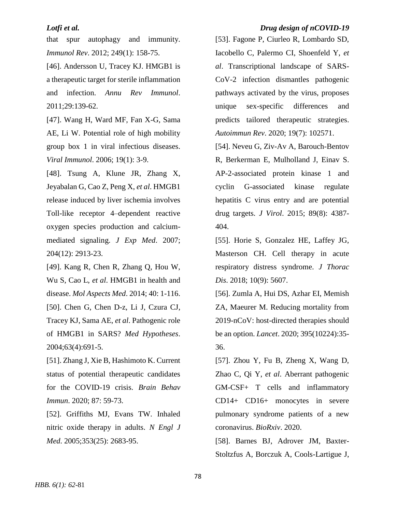that spur autophagy and immunity. *Immunol Rev*. 2012; 249(1): 158-75.

<span id="page-16-0"></span>[46]. Andersson U, Tracey KJ. HMGB1 is a therapeutic target for sterile inflammation and infection. *Annu Rev Immunol*. 2011;29:139-62.

[47]. Wang H, Ward MF, Fan X-G, Sama AE, Li W. Potential role of high mobility group box 1 in viral infectious diseases. *Viral Immunol*. 2006; 19(1): 3-9.

[48]. Tsung A, Klune JR, Zhang X, Jeyabalan G, Cao Z, Peng X, *et al*. HMGB1 release induced by liver ischemia involves Toll-like receptor 4–dependent reactive oxygen species production and calciummediated signaling. *J Exp Med*. 2007; 204(12): 2913-23.

<span id="page-16-2"></span><span id="page-16-1"></span>[49]. Kang R, Chen R, Zhang Q, Hou W, Wu S, Cao L, *et al*. HMGB1 in health and disease. *Mol Aspects Med*. 2014; 40: 1-116. [50]. Chen G, Chen D-z, Li J, Czura CJ, Tracey KJ, Sama AE, *et al*. Pathogenic role of HMGB1 in SARS? *Med Hypotheses*. 2004;63(4):691-5.

<span id="page-16-3"></span>[51]. Zhang J, Xie B, Hashimoto K. Current status of potential therapeutic candidates for the COVID-19 crisis. *Brain Behav Immun*. 2020; 87: 59-73.

<span id="page-16-4"></span>[52]. Griffiths MJ, Evans TW. Inhaled nitric oxide therapy in adults. *N Engl J Med*. 2005;353(25): 2683-95.

# *Lotfi et al. Drug design of nCOVID-19*

<span id="page-16-5"></span>[53]. Fagone P, Ciurleo R, Lombardo SD, Iacobello C, Palermo CI, Shoenfeld Y, *et al*. Transcriptional landscape of SARS-CoV-2 infection dismantles pathogenic pathways activated by the virus, proposes unique sex-specific differences and predicts tailored therapeutic strategies. *Autoimmun Rev*. 2020; 19(7): 102571.

<span id="page-16-6"></span>[54]. Neveu G, Ziv-Av A, Barouch-Bentov R, Berkerman E, Mulholland J, Einav S. AP-2-associated protein kinase 1 and cyclin G-associated kinase regulate hepatitis C virus entry and are potential drug targets. *J Virol*. 2015; 89(8): 4387- 404.

<span id="page-16-7"></span>[55]. Horie S, Gonzalez HE, Laffey JG, Masterson CH. Cell therapy in acute respiratory distress syndrome. *J Thorac Dis*. 2018; 10(9): 5607.

<span id="page-16-8"></span>[56]. Zumla A, Hui DS, Azhar EI, Memish ZA, Maeurer M. Reducing mortality from 2019-nCoV: host-directed therapies should be an option. *Lancet*. 2020; 395(10224):35- 36.

<span id="page-16-9"></span>[57]. Zhou Y, Fu B, Zheng X, Wang D, Zhao C, Qi Y, *et al*. Aberrant pathogenic GM-CSF+ T cells and inflammatory CD14+ CD16+ monocytes in severe pulmonary syndrome patients of a new coronavirus. *BioRxiv*. 2020.

<span id="page-16-10"></span>[58]. Barnes BJ, Adrover JM, Baxter-Stoltzfus A, Borczuk A, Cools-Lartigue J,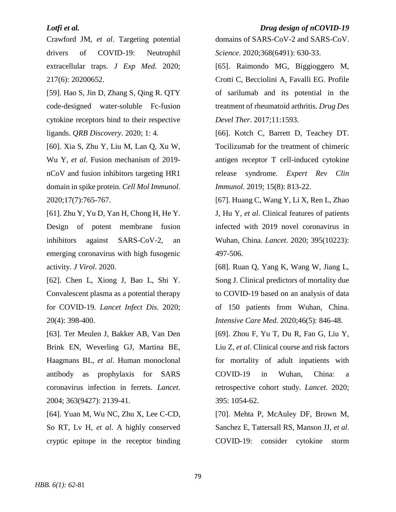# *Lotfi et al. Drug design of nCOVID-19*

Crawford JM, *et al*. Targeting potential drivers of COVID-19: Neutrophil extracellular traps. *J Exp Med*. 2020; 217(6): 20200652.

<span id="page-17-0"></span>[59]. Hao S, Jin D, Zhang S, Qing R. QTY code-designed water-soluble Fc-fusion cytokine receptors bind to their respective ligands. *QRB Discovery*. 2020; 1: 4.

<span id="page-17-1"></span>[60]. Xia S, Zhu Y, Liu M, Lan Q, Xu W, Wu Y, *et al*. Fusion mechanism of 2019 nCoV and fusion inhibitors targeting HR1 domain in spike protein. *Cell Mol Immunol*. 2020;17(7):765-767.

<span id="page-17-2"></span>[61]. Zhu Y, Yu D, Yan H, Chong H, He Y. Design of potent membrane fusion inhibitors against SARS-CoV-2, an emerging coronavirus with high fusogenic activity. *J Virol*. 2020.

<span id="page-17-3"></span>[62]. Chen L, Xiong J, Bao L, Shi Y. Convalescent plasma as a potential therapy for COVID-19. *Lancet Infect Dis*. 2020; 20(4): 398-400.

<span id="page-17-4"></span>[63]. Ter Meulen J, Bakker AB, Van Den Brink EN, Weverling GJ, Martina BE, Haagmans BL, *et al*. Human monoclonal antibody as prophylaxis for SARS coronavirus infection in ferrets. *Lancet*. 2004; 363(9427): 2139-41.

<span id="page-17-5"></span>[64]. Yuan M, Wu NC, Zhu X, Lee C-CD, So RT, Lv H, *et al*. A highly conserved cryptic epitope in the receptor binding

domains of SARS-CoV-2 and SARS-CoV. *Science*. 2020;368(6491): 630-33.

<span id="page-17-6"></span>[65]. Raimondo MG, Biggioggero M, Crotti C, Becciolini A, Favalli EG. Profile of sarilumab and its potential in the treatment of rheumatoid arthritis. *Drug Des Devel Ther*. 2017;11:1593.

<span id="page-17-7"></span>[66]. Kotch C, Barrett D, Teachey DT. Tocilizumab for the treatment of chimeric antigen receptor T cell-induced cytokine release syndrome. *Expert Rev Clin Immunol*. 2019; 15(8): 813-22.

<span id="page-17-8"></span>[67]. Huang C, Wang Y, Li X, Ren L, Zhao J, Hu Y, *et al*. Clinical features of patients infected with 2019 novel coronavirus in Wuhan, China. *Lancet*. 2020; 395(10223): 497-506.

[68]. Ruan Q, Yang K, Wang W, Jiang L, Song J. Clinical predictors of mortality due to COVID-19 based on an analysis of data of 150 patients from Wuhan, China. *Intensive Care Med*. 2020;46(5): 846-48.

[69]. Zhou F, Yu T, Du R, Fan G, Liu Y, Liu Z, *et al*. Clinical course and risk factors for mortality of adult inpatients with COVID-19 in Wuhan, China: a retrospective cohort study. *Lancet*. 2020; 395: 1054-62.

<span id="page-17-9"></span>[70]. Mehta P, McAuley DF, Brown M, Sanchez E, Tattersall RS, Manson JJ, *et al*. COVID-19: consider cytokine storm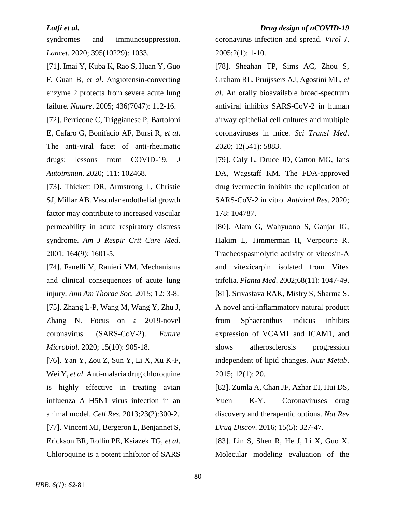syndromes and immunosuppression. *Lancet*. 2020; 395(10229): 1033.

<span id="page-18-0"></span>[71]. Imai Y, Kuba K, Rao S, Huan Y, Guo F, Guan B, *et al*. Angiotensin-converting enzyme 2 protects from severe acute lung failure. *Nature*. 2005; 436(7047): 112-16.

<span id="page-18-1"></span>[72]. Perricone C, Triggianese P, Bartoloni E, Cafaro G, Bonifacio AF, Bursi R, *et al*. The anti-viral facet of anti-rheumatic drugs: lessons from COVID-19. *J Autoimmun*. 2020; 111: 102468.

<span id="page-18-2"></span>[73]. Thickett DR, Armstrong L, Christie SJ, Millar AB. Vascular endothelial growth factor may contribute to increased vascular permeability in acute respiratory distress syndrome. *Am J Respir Crit Care Med*. 2001; 164(9): 1601-5.

<span id="page-18-3"></span>[74]. Fanelli V, Ranieri VM. Mechanisms and clinical consequences of acute lung injury. *Ann Am Thorac Soc.* 2015; 12: 3-8.

<span id="page-18-4"></span>[75]. Zhang L-P, Wang M, Wang Y, Zhu J, Zhang N. Focus on a 2019-novel coronavirus (SARS-CoV-2). *Future Microbiol*. 2020; 15(10): 905-18.

<span id="page-18-6"></span><span id="page-18-5"></span>[76]. Yan Y, Zou Z, Sun Y, Li X, Xu K-F, Wei Y, *et al*. Anti-malaria drug chloroquine is highly effective in treating avian influenza A H5N1 virus infection in an animal model. *Cell Res*. 2013;23(2):300-2. [77]. Vincent MJ, Bergeron E, Benjannet S, Erickson BR, Rollin PE, Ksiazek TG, *et al*. Chloroquine is a potent inhibitor of SARS coronavirus infection and spread. *Virol J*. 2005;2(1): 1-10.

<span id="page-18-7"></span>[78]. Sheahan TP, Sims AC, Zhou S, Graham RL, Pruijssers AJ, Agostini ML, *et al*. An orally bioavailable broad-spectrum antiviral inhibits SARS-CoV-2 in human airway epithelial cell cultures and multiple coronaviruses in mice. *Sci Transl Med*. 2020; 12(541): 5883.

<span id="page-18-8"></span>[79]. Caly L, Druce JD, Catton MG, Jans DA, Wagstaff KM. The FDA-approved drug ivermectin inhibits the replication of SARS-CoV-2 in vitro. *Antiviral Res*. 2020; 178: 104787.

<span id="page-18-10"></span><span id="page-18-9"></span>[80]. Alam G, Wahyuono S, Ganjar IG, Hakim L, Timmerman H, Verpoorte R. Tracheospasmolytic activity of viteosin-A and vitexicarpin isolated from Vitex trifolia. *Planta Med*. 2002;68(11): 1047-49. [81]. Srivastava RAK, Mistry S, Sharma S. A novel anti-inflammatory natural product from Sphaeranthus indicus inhibits expression of VCAM1 and ICAM1, and slows atherosclerosis progression independent of lipid changes. *Nutr Metab*. 2015; 12(1): 20.

<span id="page-18-11"></span>[82]. Zumla A, Chan JF, Azhar EI, Hui DS, Yuen K-Y. Coronaviruses—drug discovery and therapeutic options. *Nat Rev Drug Discov*. 2016; 15(5): 327-47.

<span id="page-18-12"></span>[83]. Lin S, Shen R, He J, Li X, Guo X. Molecular modeling evaluation of the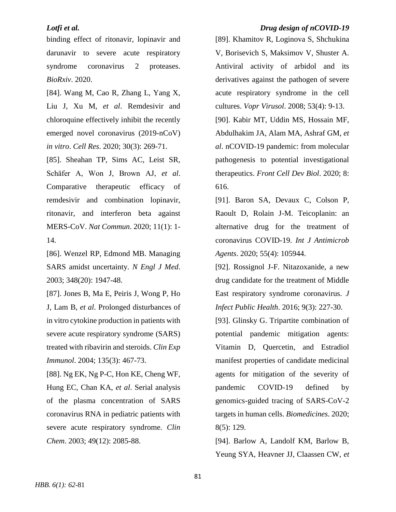binding effect of ritonavir, lopinavir and darunavir to severe acute respiratory syndrome coronavirus 2 proteases. *BioRxiv*. 2020.

<span id="page-19-0"></span>[84]. Wang M, Cao R, Zhang L, Yang X, Liu J, Xu M, *et al*. Remdesivir and chloroquine effectively inhibit the recently emerged novel coronavirus (2019-nCoV) *in vitro*. *Cell Res*. 2020; 30(3): 269-71.

<span id="page-19-1"></span>[85]. Sheahan TP, Sims AC, Leist SR, Schäfer A, Won J, Brown AJ, *et al*. Comparative therapeutic efficacy of remdesivir and combination lopinavir, ritonavir, and interferon beta against MERS-CoV. *Nat Commun*. 2020; 11(1): 1- 14.

<span id="page-19-2"></span>[86]. Wenzel RP, Edmond MB. Managing SARS amidst uncertainty. *N Engl J Med*. 2003; 348(20): 1947-48.

[87]. Jones B, Ma E, Peiris J, Wong P, Ho J, Lam B, *et al*. Prolonged disturbances of in vitro cytokine production in patients with severe acute respiratory syndrome (SARS) treated with ribavirin and steroids. *Clin Exp Immunol*. 2004; 135(3): 467-73.

[88]. Ng EK, Ng P-C, Hon KE, Cheng WF, Hung EC, Chan KA, *et al*. Serial analysis of the plasma concentration of SARS coronavirus RNA in pediatric patients with severe acute respiratory syndrome. *Clin Chem*. 2003; 49(12): 2085-88.

### *Lotfi et al. Drug design of nCOVID-19*

<span id="page-19-3"></span>[89]. Khamitov R, Loginova S, Shchukina V, Borisevich S, Maksimov V, Shuster A. Antiviral activity of arbidol and its derivatives against the pathogen of severe acute respiratory syndrome in the cell cultures. *Vopr Virusol*. 2008; 53(4): 9-13.

<span id="page-19-4"></span>[90]. Kabir MT, Uddin MS, Hossain MF, Abdulhakim JA, Alam MA, Ashraf GM, *et al*. nCOVID-19 pandemic: from molecular pathogenesis to potential investigational therapeutics. *Front Cell Dev Biol*. 2020; 8: 616.

<span id="page-19-5"></span>[91]. Baron SA, Devaux C, Colson P, Raoult D, Rolain J-M. Teicoplanin: an alternative drug for the treatment of coronavirus COVID-19. *Int J Antimicrob Agents*. 2020; 55(4): 105944.

<span id="page-19-6"></span>[92]. Rossignol J-F. Nitazoxanide, a new drug candidate for the treatment of Middle East respiratory syndrome coronavirus. *J Infect Public Health*. 2016; 9(3): 227-30.

<span id="page-19-7"></span>[93]. Glinsky G. Tripartite combination of potential pandemic mitigation agents: Vitamin D, Quercetin, and Estradiol manifest properties of candidate medicinal agents for mitigation of the severity of pandemic COVID-19 defined by genomics-guided tracing of SARS-CoV-2 targets in human cells. *Biomedicines*. 2020; 8(5): 129.

<span id="page-19-8"></span>[94]. Barlow A, Landolf KM, Barlow B, Yeung SYA, Heavner JJ, Claassen CW, *et*